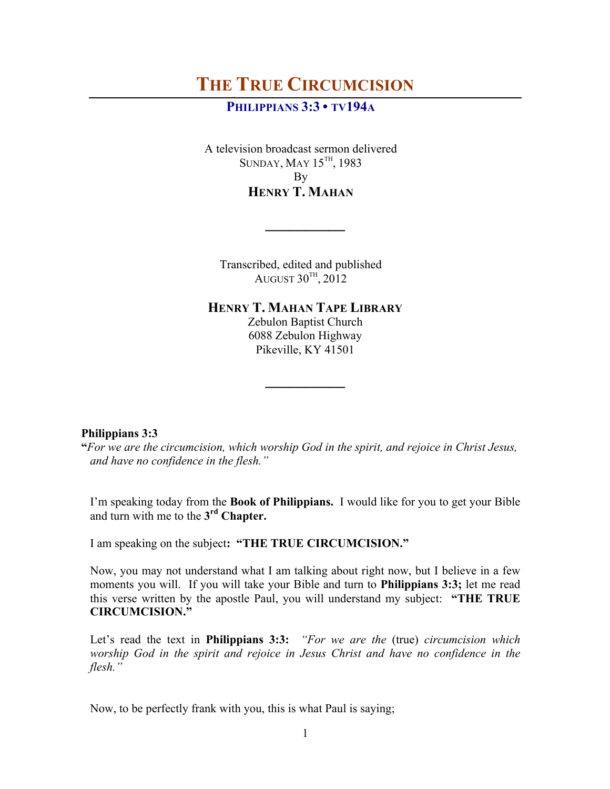# **PHILIPPIANS 3:3 • TV194A**

A television broadcast sermon delivered SUNDAY, MAY 15TH, 1983 By **HENRY T. MAHAN**

Transcribed, edited and published  $\lambda$ ugust 30 $^{\text{\tiny{TH}}}, 2012$ 

**\_\_\_\_\_\_\_\_\_\_**

**HENRY T. MAHAN TAPE LIBRARY**

Zebulon Baptist Church 6088 Zebulon Highway Pikeville, KY 41501

**\_\_\_\_\_\_\_\_\_\_**

## **Philippians 3:3**

**"***For we are the circumcision, which worship God in the spirit, and rejoice in Christ Jesus, and have no confidence in the flesh."*

I'm speaking today from the **Book of Philippians.** I would like for you to get your Bible and turn with me to the **3rd Chapter.** 

I am speaking on the subject**: "THE TRUE CIRCUMCISION."**

Now, you may not understand what I am talking about right now, but I believe in a few moments you will. If you will take your Bible and turn to **Philippians 3:3;** let me read this verse written by the apostle Paul, you will understand my subject: **"THE TRUE CIRCUMCISION."** 

Let's read the text in **Philippians 3:3:** *"For we are the* (true) *circumcision which worship God in the spirit and rejoice in Jesus Christ and have no confidence in the flesh."*

Now, to be perfectly frank with you, this is what Paul is saying;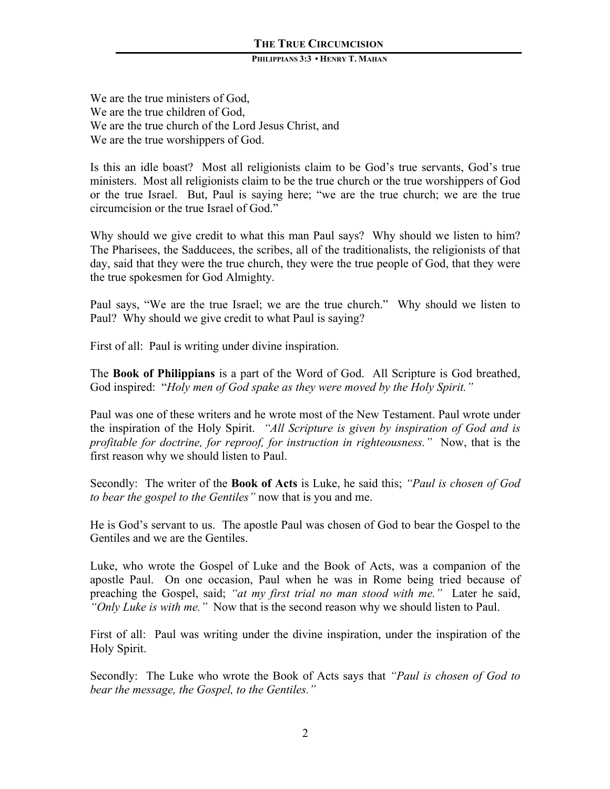#### **PHILIPPIANS 3:3 • HENRY T. MAHAN**

We are the true ministers of God, We are the true children of God, We are the true church of the Lord Jesus Christ, and We are the true worshippers of God.

Is this an idle boast? Most all religionists claim to be God's true servants, God's true ministers. Most all religionists claim to be the true church or the true worshippers of God or the true Israel. But, Paul is saying here; "we are the true church; we are the true circumcision or the true Israel of God."

Why should we give credit to what this man Paul says? Why should we listen to him? The Pharisees, the Sadducees, the scribes, all of the traditionalists, the religionists of that day, said that they were the true church, they were the true people of God, that they were the true spokesmen for God Almighty.

Paul says, "We are the true Israel; we are the true church." Why should we listen to Paul? Why should we give credit to what Paul is saying?

First of all: Paul is writing under divine inspiration.

The **Book of Philippians** is a part of the Word of God. All Scripture is God breathed, God inspired: "*Holy men of God spake as they were moved by the Holy Spirit."* 

Paul was one of these writers and he wrote most of the New Testament. Paul wrote under the inspiration of the Holy Spirit. *"All Scripture is given by inspiration of God and is profitable for doctrine, for reproof, for instruction in righteousness."* Now, that is the first reason why we should listen to Paul.

Secondly: The writer of the **Book of Acts** is Luke, he said this; *"Paul is chosen of God to bear the gospel to the Gentiles"* now that is you and me.

He is God's servant to us. The apostle Paul was chosen of God to bear the Gospel to the Gentiles and we are the Gentiles.

Luke, who wrote the Gospel of Luke and the Book of Acts, was a companion of the apostle Paul. On one occasion, Paul when he was in Rome being tried because of preaching the Gospel, said; *"at my first trial no man stood with me."* Later he said, *"Only Luke is with me."* Now that is the second reason why we should listen to Paul.

First of all: Paul was writing under the divine inspiration, under the inspiration of the Holy Spirit.

Secondly: The Luke who wrote the Book of Acts says that *"Paul is chosen of God to bear the message, the Gospel, to the Gentiles."*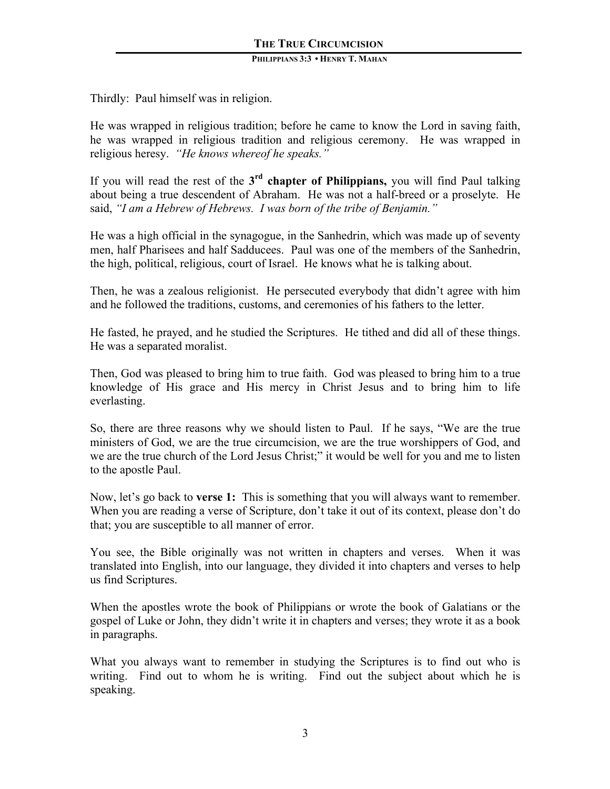Thirdly: Paul himself was in religion.

He was wrapped in religious tradition; before he came to know the Lord in saving faith, he was wrapped in religious tradition and religious ceremony. He was wrapped in religious heresy. *"He knows whereof he speaks."*

If you will read the rest of the **3rd chapter of Philippians,** you will find Paul talking about being a true descendent of Abraham. He was not a half-breed or a proselyte. He said, *"I am a Hebrew of Hebrews. I was born of the tribe of Benjamin."*

He was a high official in the synagogue, in the Sanhedrin, which was made up of seventy men, half Pharisees and half Sadducees. Paul was one of the members of the Sanhedrin, the high, political, religious, court of Israel. He knows what he is talking about.

Then, he was a zealous religionist. He persecuted everybody that didn't agree with him and he followed the traditions, customs, and ceremonies of his fathers to the letter.

He fasted, he prayed, and he studied the Scriptures. He tithed and did all of these things. He was a separated moralist.

Then, God was pleased to bring him to true faith. God was pleased to bring him to a true knowledge of His grace and His mercy in Christ Jesus and to bring him to life everlasting.

So, there are three reasons why we should listen to Paul. If he says, "We are the true ministers of God, we are the true circumcision, we are the true worshippers of God, and we are the true church of the Lord Jesus Christ;" it would be well for you and me to listen to the apostle Paul.

Now, let's go back to **verse 1:** This is something that you will always want to remember. When you are reading a verse of Scripture, don't take it out of its context, please don't do that; you are susceptible to all manner of error.

You see, the Bible originally was not written in chapters and verses. When it was translated into English, into our language, they divided it into chapters and verses to help us find Scriptures.

When the apostles wrote the book of Philippians or wrote the book of Galatians or the gospel of Luke or John, they didn't write it in chapters and verses; they wrote it as a book in paragraphs.

What you always want to remember in studying the Scriptures is to find out who is writing. Find out to whom he is writing. Find out the subject about which he is speaking.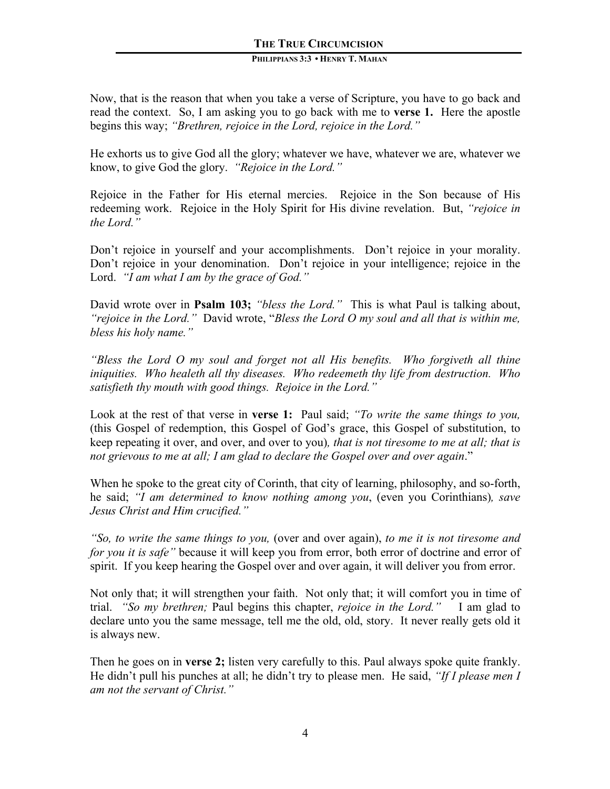# **PHILIPPIANS 3:3 • HENRY T. MAHAN**

Now, that is the reason that when you take a verse of Scripture, you have to go back and read the context. So, I am asking you to go back with me to **verse 1.** Here the apostle begins this way; *"Brethren, rejoice in the Lord, rejoice in the Lord."*

He exhorts us to give God all the glory; whatever we have, whatever we are, whatever we know, to give God the glory. *"Rejoice in the Lord."* 

Rejoice in the Father for His eternal mercies. Rejoice in the Son because of His redeeming work. Rejoice in the Holy Spirit for His divine revelation. But, *"rejoice in the Lord."*

Don't rejoice in yourself and your accomplishments. Don't rejoice in your morality. Don't rejoice in your denomination. Don't rejoice in your intelligence; rejoice in the Lord. *"I am what I am by the grace of God."*

David wrote over in **Psalm 103;** *"bless the Lord."* This is what Paul is talking about, *"rejoice in the Lord."* David wrote, "*Bless the Lord O my soul and all that is within me, bless his holy name."*

*"Bless the Lord O my soul and forget not all His benefits. Who forgiveth all thine iniquities. Who healeth all thy diseases. Who redeemeth thy life from destruction. Who satisfieth thy mouth with good things. Rejoice in the Lord."*

Look at the rest of that verse in **verse 1:** Paul said; *"To write the same things to you,*  (this Gospel of redemption, this Gospel of God's grace, this Gospel of substitution, to keep repeating it over, and over, and over to you)*, that is not tiresome to me at all; that is not grievous to me at all; I am glad to declare the Gospel over and over again*."

When he spoke to the great city of Corinth, that city of learning, philosophy, and so-forth, he said; *"I am determined to know nothing among you*, (even you Corinthians)*, save Jesus Christ and Him crucified."*

*"So, to write the same things to you,* (over and over again), *to me it is not tiresome and for you it is safe"* because it will keep you from error, both error of doctrine and error of spirit. If you keep hearing the Gospel over and over again, it will deliver you from error.

Not only that; it will strengthen your faith. Not only that; it will comfort you in time of trial. *"So my brethren;* Paul begins this chapter, *rejoice in the Lord."* I am glad to declare unto you the same message, tell me the old, old, story. It never really gets old it is always new.

Then he goes on in **verse 2;** listen very carefully to this. Paul always spoke quite frankly. He didn't pull his punches at all; he didn't try to please men. He said, *"If I please men I am not the servant of Christ."*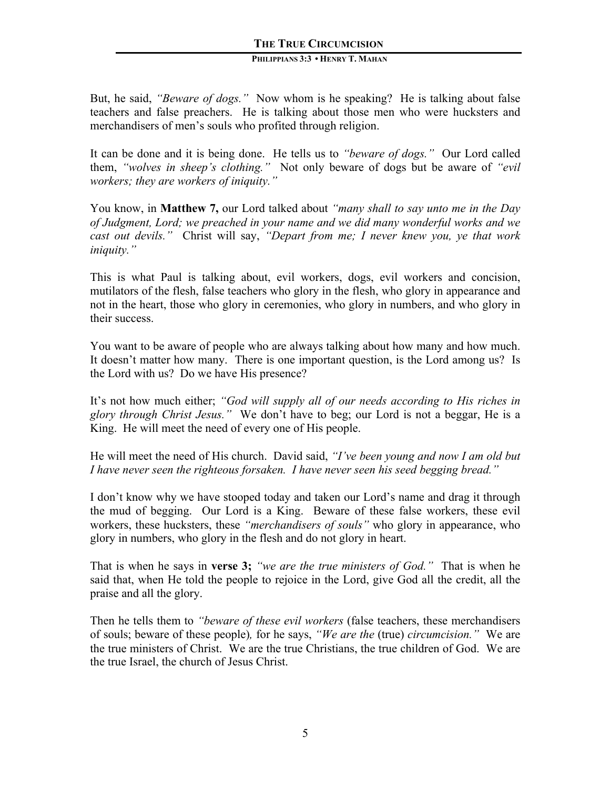But, he said, *"Beware of dogs."* Now whom is he speaking? He is talking about false teachers and false preachers. He is talking about those men who were hucksters and merchandisers of men's souls who profited through religion.

It can be done and it is being done. He tells us to *"beware of dogs."* Our Lord called them, *"wolves in sheep's clothing."* Not only beware of dogs but be aware of *"evil workers; they are workers of iniquity."*

You know, in **Matthew 7,** our Lord talked about *"many shall to say unto me in the Day of Judgment, Lord; we preached in your name and we did many wonderful works and we cast out devils."* Christ will say, *"Depart from me; I never knew you, ye that work iniquity."* 

This is what Paul is talking about, evil workers, dogs, evil workers and concision, mutilators of the flesh, false teachers who glory in the flesh, who glory in appearance and not in the heart, those who glory in ceremonies, who glory in numbers, and who glory in their success.

You want to be aware of people who are always talking about how many and how much. It doesn't matter how many. There is one important question, is the Lord among us? Is the Lord with us? Do we have His presence?

It's not how much either; *"God will supply all of our needs according to His riches in glory through Christ Jesus."* We don't have to beg; our Lord is not a beggar, He is a King. He will meet the need of every one of His people.

He will meet the need of His church. David said, *"I've been young and now I am old but I have never seen the righteous forsaken. I have never seen his seed begging bread."*

I don't know why we have stooped today and taken our Lord's name and drag it through the mud of begging. Our Lord is a King. Beware of these false workers, these evil workers, these hucksters, these *"merchandisers of souls"* who glory in appearance, who glory in numbers, who glory in the flesh and do not glory in heart.

That is when he says in **verse 3;** *"we are the true ministers of God."* That is when he said that, when He told the people to rejoice in the Lord, give God all the credit, all the praise and all the glory.

Then he tells them to *"beware of these evil workers* (false teachers, these merchandisers of souls; beware of these people)*,* for he says, *"We are the* (true) *circumcision."* We are the true ministers of Christ. We are the true Christians, the true children of God. We are the true Israel, the church of Jesus Christ.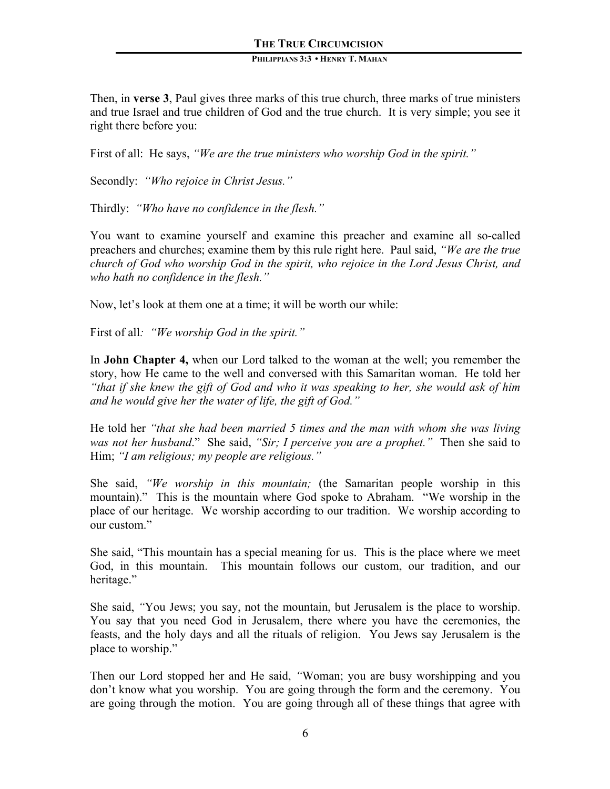#### **PHILIPPIANS 3:3 • HENRY T. MAHAN**

Then, in **verse 3**, Paul gives three marks of this true church, three marks of true ministers and true Israel and true children of God and the true church. It is very simple; you see it right there before you:

First of all: He says, *"We are the true ministers who worship God in the spirit."*

Secondly: *"Who rejoice in Christ Jesus."*

Thirdly: *"Who have no confidence in the flesh."*

You want to examine yourself and examine this preacher and examine all so-called preachers and churches; examine them by this rule right here. Paul said, *"We are the true church of God who worship God in the spirit, who rejoice in the Lord Jesus Christ, and who hath no confidence in the flesh."*

Now, let's look at them one at a time; it will be worth our while:

First of all*: "We worship God in the spirit."*

In **John Chapter 4,** when our Lord talked to the woman at the well; you remember the story, how He came to the well and conversed with this Samaritan woman. He told her *"that if she knew the gift of God and who it was speaking to her, she would ask of him and he would give her the water of life, the gift of God."*

He told her *"that she had been married 5 times and the man with whom she was living was not her husband*." She said, *"Sir; I perceive you are a prophet."* Then she said to Him; *"I am religious; my people are religious."*

She said, *"We worship in this mountain;* (the Samaritan people worship in this mountain)." This is the mountain where God spoke to Abraham. "We worship in the place of our heritage. We worship according to our tradition. We worship according to our custom."

She said, "This mountain has a special meaning for us. This is the place where we meet God, in this mountain. This mountain follows our custom, our tradition, and our heritage."

She said, *"*You Jews; you say, not the mountain, but Jerusalem is the place to worship. You say that you need God in Jerusalem, there where you have the ceremonies, the feasts, and the holy days and all the rituals of religion. You Jews say Jerusalem is the place to worship."

Then our Lord stopped her and He said, *"*Woman; you are busy worshipping and you don't know what you worship. You are going through the form and the ceremony. You are going through the motion. You are going through all of these things that agree with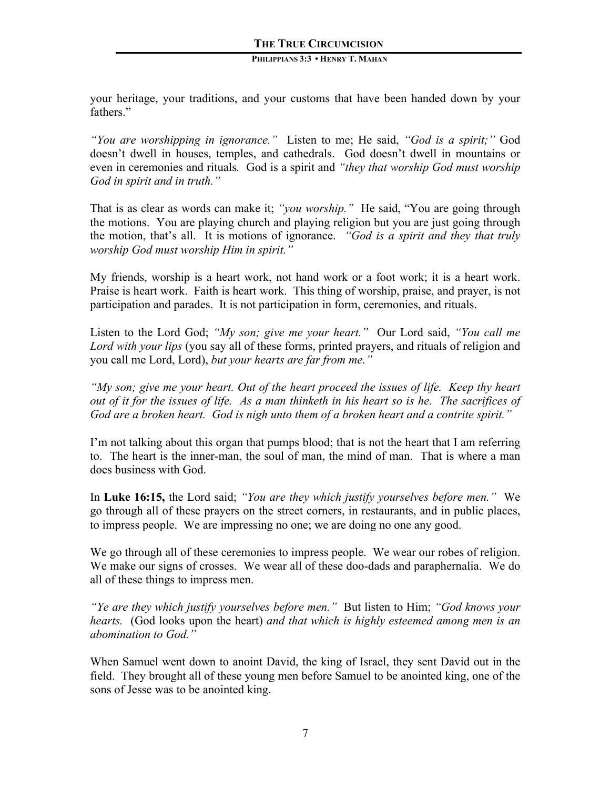your heritage, your traditions, and your customs that have been handed down by your fathers."

*"You are worshipping in ignorance."* Listen to me; He said, *"God is a spirit;"* God doesn't dwell in houses, temples, and cathedrals. God doesn't dwell in mountains or even in ceremonies and rituals*.* God is a spirit and *"they that worship God must worship God in spirit and in truth."* 

That is as clear as words can make it; *"you worship."* He said, "You are going through the motions. You are playing church and playing religion but you are just going through the motion, that's all. It is motions of ignorance. *"God is a spirit and they that truly worship God must worship Him in spirit."*

My friends, worship is a heart work, not hand work or a foot work; it is a heart work. Praise is heart work. Faith is heart work. This thing of worship, praise, and prayer, is not participation and parades. It is not participation in form, ceremonies, and rituals.

Listen to the Lord God; *"My son; give me your heart."* Our Lord said, *"You call me Lord with your lips* (you say all of these forms, printed prayers, and rituals of religion and you call me Lord, Lord), *but your hearts are far from me."* 

*"My son; give me your heart. Out of the heart proceed the issues of life. Keep thy heart out of it for the issues of life. As a man thinketh in his heart so is he. The sacrifices of God are a broken heart. God is nigh unto them of a broken heart and a contrite spirit."*

I'm not talking about this organ that pumps blood; that is not the heart that I am referring to. The heart is the inner-man, the soul of man, the mind of man. That is where a man does business with God.

In **Luke 16:15,** the Lord said; *"You are they which justify yourselves before men."* We go through all of these prayers on the street corners, in restaurants, and in public places, to impress people. We are impressing no one; we are doing no one any good.

We go through all of these ceremonies to impress people. We wear our robes of religion. We make our signs of crosses. We wear all of these doo-dads and paraphernalia. We do all of these things to impress men.

*"Ye are they which justify yourselves before men."* But listen to Him; *"God knows your hearts.* (God looks upon the heart) *and that which is highly esteemed among men is an abomination to God."*

When Samuel went down to anoint David, the king of Israel, they sent David out in the field. They brought all of these young men before Samuel to be anointed king, one of the sons of Jesse was to be anointed king.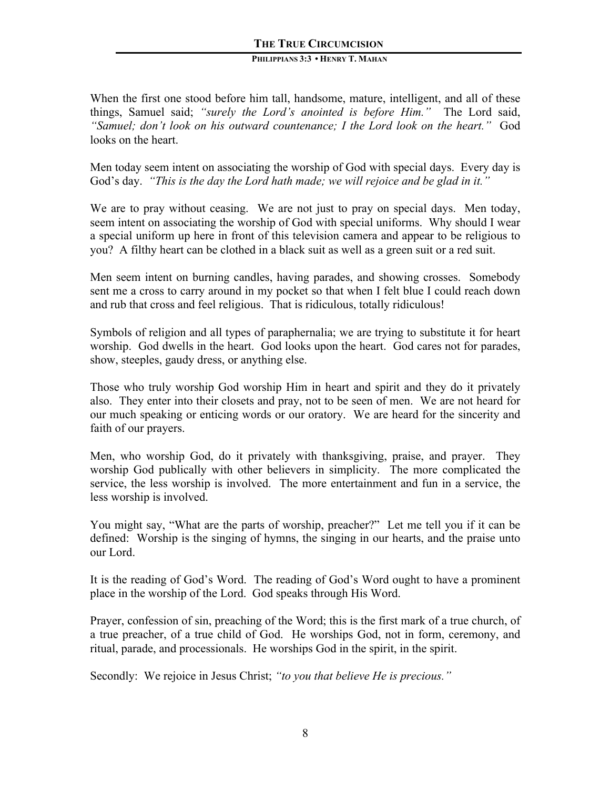#### **PHILIPPIANS 3:3 • HENRY T. MAHAN**

When the first one stood before him tall, handsome, mature, intelligent, and all of these things, Samuel said; *"surely the Lord's anointed is before Him."* The Lord said, *"Samuel; don't look on his outward countenance; I the Lord look on the heart."* God looks on the heart.

Men today seem intent on associating the worship of God with special days. Every day is God's day. *"This is the day the Lord hath made; we will rejoice and be glad in it."*

We are to pray without ceasing. We are not just to pray on special days. Men today, seem intent on associating the worship of God with special uniforms. Why should I wear a special uniform up here in front of this television camera and appear to be religious to you? A filthy heart can be clothed in a black suit as well as a green suit or a red suit.

Men seem intent on burning candles, having parades, and showing crosses. Somebody sent me a cross to carry around in my pocket so that when I felt blue I could reach down and rub that cross and feel religious. That is ridiculous, totally ridiculous!

Symbols of religion and all types of paraphernalia; we are trying to substitute it for heart worship. God dwells in the heart. God looks upon the heart. God cares not for parades, show, steeples, gaudy dress, or anything else.

Those who truly worship God worship Him in heart and spirit and they do it privately also. They enter into their closets and pray, not to be seen of men. We are not heard for our much speaking or enticing words or our oratory. We are heard for the sincerity and faith of our prayers.

Men, who worship God, do it privately with thanksgiving, praise, and prayer. They worship God publically with other believers in simplicity. The more complicated the service, the less worship is involved. The more entertainment and fun in a service, the less worship is involved.

You might say, "What are the parts of worship, preacher?" Let me tell you if it can be defined: Worship is the singing of hymns, the singing in our hearts, and the praise unto our Lord.

It is the reading of God's Word. The reading of God's Word ought to have a prominent place in the worship of the Lord. God speaks through His Word.

Prayer, confession of sin, preaching of the Word; this is the first mark of a true church, of a true preacher, of a true child of God. He worships God, not in form, ceremony, and ritual, parade, and processionals. He worships God in the spirit, in the spirit.

Secondly: We rejoice in Jesus Christ; *"to you that believe He is precious."*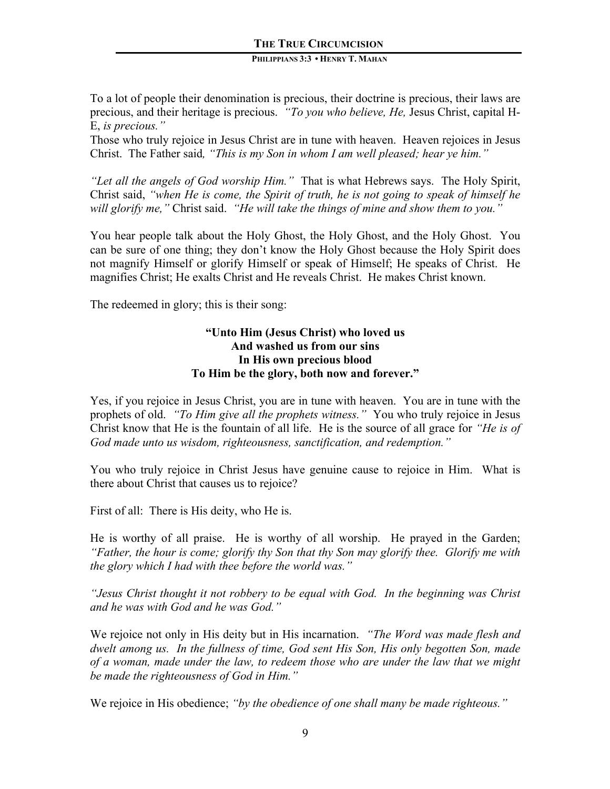#### **PHILIPPIANS 3:3 • HENRY T. MAHAN**

To a lot of people their denomination is precious, their doctrine is precious, their laws are precious, and their heritage is precious. *"To you who believe, He,* Jesus Christ, capital H-E, *is precious."* 

Those who truly rejoice in Jesus Christ are in tune with heaven. Heaven rejoices in Jesus Christ. The Father said*, "This is my Son in whom I am well pleased; hear ye him."*

*"Let all the angels of God worship Him."* That is what Hebrews says. The Holy Spirit, Christ said, *"when He is come, the Spirit of truth, he is not going to speak of himself he will glorify me,"* Christ said. *"He will take the things of mine and show them to you."* 

You hear people talk about the Holy Ghost, the Holy Ghost, and the Holy Ghost. You can be sure of one thing; they don't know the Holy Ghost because the Holy Spirit does not magnify Himself or glorify Himself or speak of Himself; He speaks of Christ. He magnifies Christ; He exalts Christ and He reveals Christ. He makes Christ known.

The redeemed in glory; this is their song:

# **"Unto Him (Jesus Christ) who loved us And washed us from our sins In His own precious blood To Him be the glory, both now and forever."**

Yes, if you rejoice in Jesus Christ, you are in tune with heaven. You are in tune with the prophets of old. *"To Him give all the prophets witness."* You who truly rejoice in Jesus Christ know that He is the fountain of all life. He is the source of all grace for *"He is of God made unto us wisdom, righteousness, sanctification, and redemption."*

You who truly rejoice in Christ Jesus have genuine cause to rejoice in Him. What is there about Christ that causes us to rejoice?

First of all: There is His deity, who He is.

He is worthy of all praise. He is worthy of all worship. He prayed in the Garden; *"Father, the hour is come; glorify thy Son that thy Son may glorify thee. Glorify me with the glory which I had with thee before the world was."*

*"Jesus Christ thought it not robbery to be equal with God. In the beginning was Christ and he was with God and he was God."*

We rejoice not only in His deity but in His incarnation. *"The Word was made flesh and dwelt among us. In the fullness of time, God sent His Son, His only begotten Son, made of a woman, made under the law, to redeem those who are under the law that we might be made the righteousness of God in Him."*

We rejoice in His obedience; *"by the obedience of one shall many be made righteous."*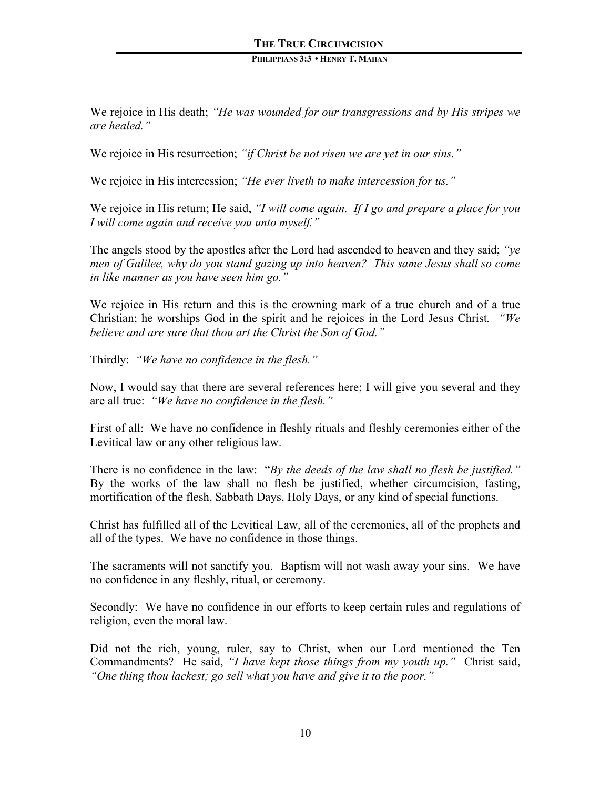We rejoice in His death; *"He was wounded for our transgressions and by His stripes we are healed."*

We rejoice in His resurrection; *"if Christ be not risen we are yet in our sins."*

We rejoice in His intercession; *"He ever liveth to make intercession for us."*

We rejoice in His return; He said, *"I will come again. If I go and prepare a place for you I will come again and receive you unto myself."*

The angels stood by the apostles after the Lord had ascended to heaven and they said; *"ye men of Galilee, why do you stand gazing up into heaven? This same Jesus shall so come in like manner as you have seen him go."*

We rejoice in His return and this is the crowning mark of a true church and of a true Christian; he worships God in the spirit and he rejoices in the Lord Jesus Christ*. "We believe and are sure that thou art the Christ the Son of God."*

Thirdly: *"We have no confidence in the flesh."*

Now, I would say that there are several references here; I will give you several and they are all true: *"We have no confidence in the flesh."*

First of all: We have no confidence in fleshly rituals and fleshly ceremonies either of the Levitical law or any other religious law.

There is no confidence in the law: "*By the deeds of the law shall no flesh be justified."* By the works of the law shall no flesh be justified, whether circumcision, fasting, mortification of the flesh, Sabbath Days, Holy Days, or any kind of special functions.

Christ has fulfilled all of the Levitical Law, all of the ceremonies, all of the prophets and all of the types. We have no confidence in those things.

The sacraments will not sanctify you. Baptism will not wash away your sins. We have no confidence in any fleshly, ritual, or ceremony.

Secondly: We have no confidence in our efforts to keep certain rules and regulations of religion, even the moral law.

Did not the rich, young, ruler, say to Christ, when our Lord mentioned the Ten Commandments? He said, *"I have kept those things from my youth up."* Christ said, *"One thing thou lackest; go sell what you have and give it to the poor."*